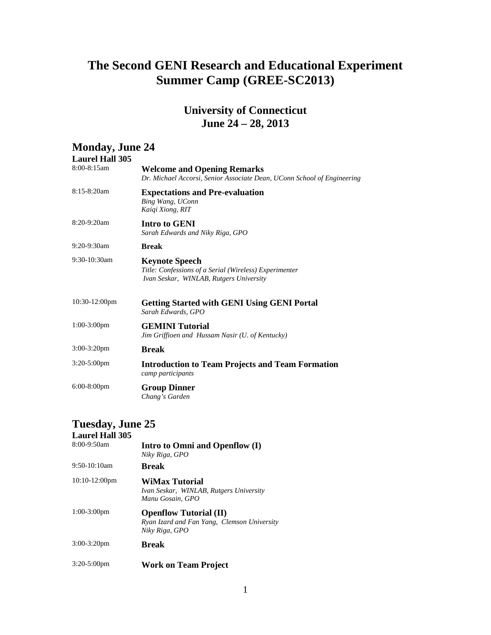## **The Second GENI Research and Educational Experiment Summer Camp (GREE-SC2013)**

#### **University of Connecticut June 24 – 28, 2013**

| <b>Monday, June 24</b><br><b>Laurel Hall 305</b> |                                                                                                                            |
|--------------------------------------------------|----------------------------------------------------------------------------------------------------------------------------|
| 8:00-8:15am                                      | <b>Welcome and Opening Remarks</b><br>Dr. Michael Accorsi, Senior Associate Dean, UConn School of Engineering              |
| 8:15-8:20am                                      | <b>Expectations and Pre-evaluation</b><br>Bing Wang, UConn<br>Kaigi Xiong, RIT                                             |
| 8:20-9:20am                                      | Intro to GENI<br>Sarah Edwards and Niky Riga, GPO                                                                          |
| 9:20-9:30am                                      | <b>Break</b>                                                                                                               |
| 9:30-10:30am                                     | <b>Keynote Speech</b><br>Title: Confessions of a Serial (Wireless) Experimenter<br>Ivan Seskar, WINLAB, Rutgers University |
| 10:30-12:00pm                                    | <b>Getting Started with GENI Using GENI Portal</b><br>Sarah Edwards, GPO                                                   |
| $1:00-3:00$ pm                                   | <b>GEMINI Tutorial</b><br>Jim Griffioen and Hussam Nasir (U. of Kentucky)                                                  |
| $3:00-3:20$ pm                                   | <b>Break</b>                                                                                                               |
| $3:20-5:00$ pm                                   | <b>Introduction to Team Projects and Team Formation</b><br>camp participants                                               |
| $6:00-8:00$ pm                                   | <b>Group Dinner</b><br>Chang's Garden                                                                                      |

## **Tuesday, June 25**

#### **Laurel Hall 305** 8:00-9:50am Intro to Omni and Openflow (I) *Niky Riga, GPO* 9:50-10:10am **Break** 10:10-12:00pm **WiMax Tutorial**  *Ivan Seskar, WINLAB, Rutgers University Manu Gosain, GPO* 1:00-3:00pm **Openflow Tutorial (II)** *Ryan Izard and Fan Yang, Clemson University Niky Riga, GPO* 3:00-3:20pm **Break**

3:20-5:00pm **Work on Team Project**